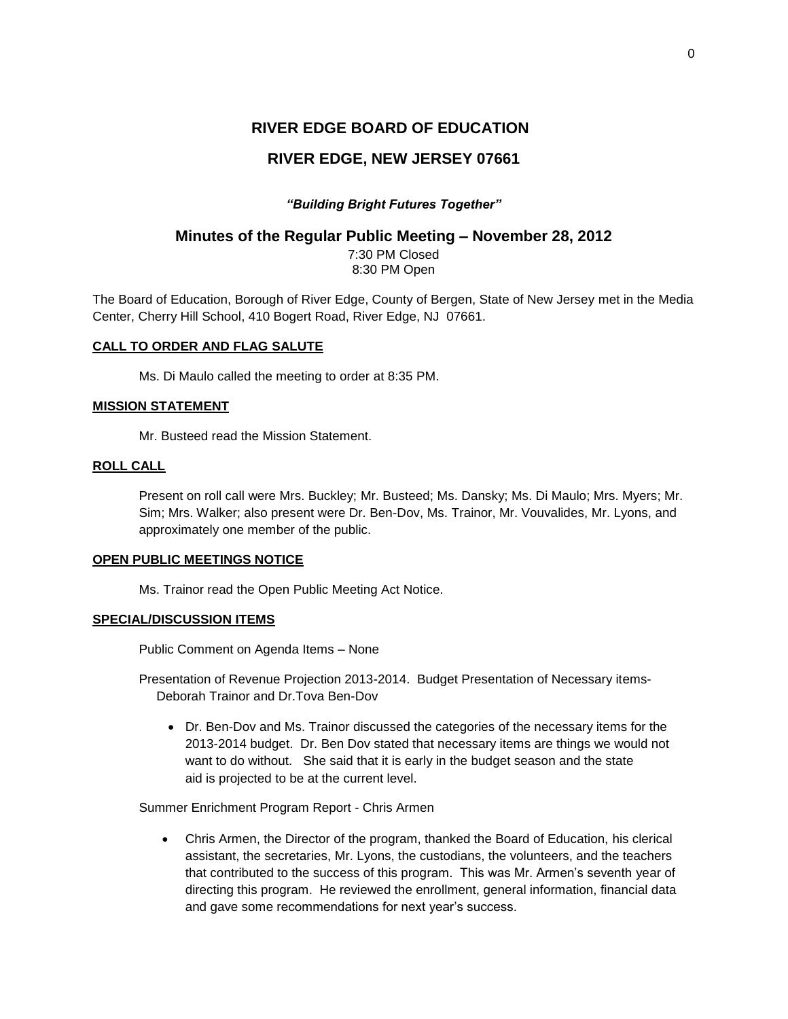# **RIVER EDGE BOARD OF EDUCATION**

# **RIVER EDGE, NEW JERSEY 07661**

# *"Building Bright Futures Together"*

# **Minutes of the Regular Public Meeting – November 28, 2012**

7:30 PM Closed 8:30 PM Open

The Board of Education, Borough of River Edge, County of Bergen, State of New Jersey met in the Media Center, Cherry Hill School, 410 Bogert Road, River Edge, NJ 07661.

## **CALL TO ORDER AND FLAG SALUTE**

Ms. Di Maulo called the meeting to order at 8:35 PM.

## **MISSION STATEMENT**

Mr. Busteed read the Mission Statement.

## **ROLL CALL**

Present on roll call were Mrs. Buckley; Mr. Busteed; Ms. Dansky; Ms. Di Maulo; Mrs. Myers; Mr. Sim; Mrs. Walker; also present were Dr. Ben-Dov, Ms. Trainor, Mr. Vouvalides, Mr. Lyons, and approximately one member of the public.

### **OPEN PUBLIC MEETINGS NOTICE**

Ms. Trainor read the Open Public Meeting Act Notice.

## **SPECIAL/DISCUSSION ITEMS**

Public Comment on Agenda Items – None

Presentation of Revenue Projection 2013-2014. Budget Presentation of Necessary items-Deborah Trainor and Dr.Tova Ben-Dov

 Dr. Ben-Dov and Ms. Trainor discussed the categories of the necessary items for the 2013-2014 budget. Dr. Ben Dov stated that necessary items are things we would not want to do without. She said that it is early in the budget season and the state aid is projected to be at the current level.

Summer Enrichment Program Report - Chris Armen

 Chris Armen, the Director of the program, thanked the Board of Education, his clerical assistant, the secretaries, Mr. Lyons, the custodians, the volunteers, and the teachers that contributed to the success of this program. This was Mr. Armen's seventh year of directing this program. He reviewed the enrollment, general information, financial data and gave some recommendations for next year's success.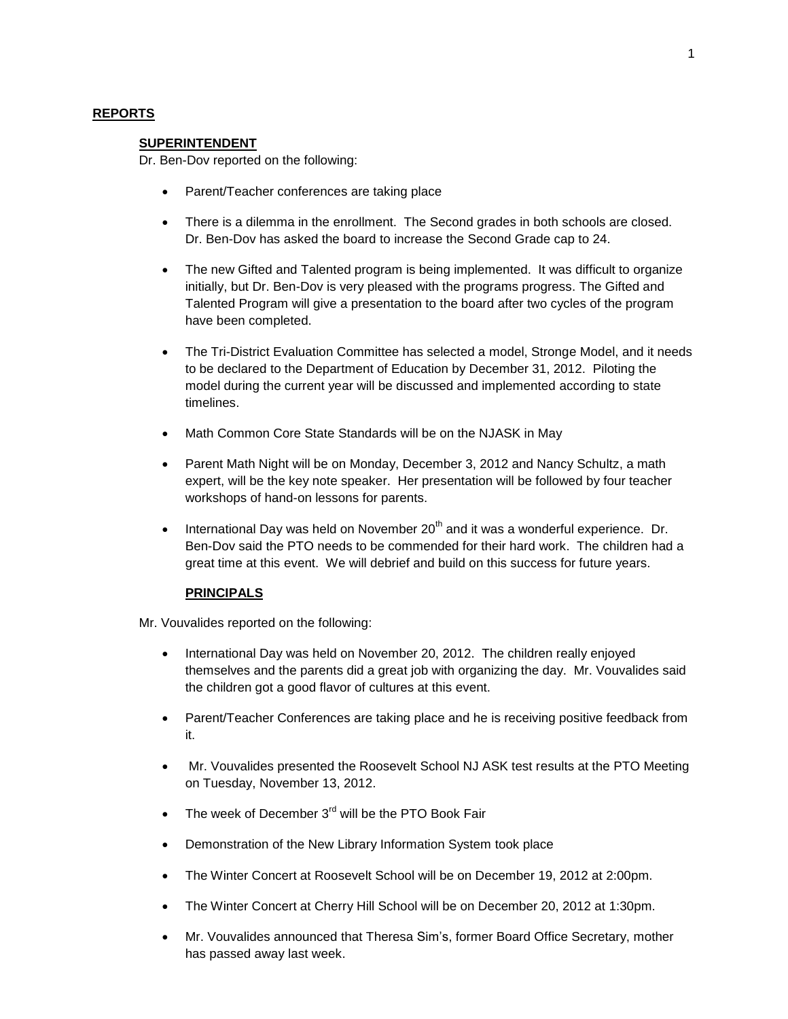## **REPORTS**

#### **SUPERINTENDENT**

Dr. Ben-Dov reported on the following:

- Parent/Teacher conferences are taking place
- There is a dilemma in the enrollment. The Second grades in both schools are closed. Dr. Ben-Dov has asked the board to increase the Second Grade cap to 24.
- The new Gifted and Talented program is being implemented. It was difficult to organize initially, but Dr. Ben-Dov is very pleased with the programs progress. The Gifted and Talented Program will give a presentation to the board after two cycles of the program have been completed.
- The Tri-District Evaluation Committee has selected a model, Stronge Model, and it needs to be declared to the Department of Education by December 31, 2012. Piloting the model during the current year will be discussed and implemented according to state timelines.
- Math Common Core State Standards will be on the NJASK in May
- Parent Math Night will be on Monday, December 3, 2012 and Nancy Schultz, a math expert, will be the key note speaker. Her presentation will be followed by four teacher workshops of hand-on lessons for parents.
- **International Day was held on November 20<sup>th</sup> and it was a wonderful experience. Dr.** Ben-Dov said the PTO needs to be commended for their hard work. The children had a great time at this event. We will debrief and build on this success for future years.

#### **PRINCIPALS**

Mr. Vouvalides reported on the following:

- International Day was held on November 20, 2012. The children really enjoyed themselves and the parents did a great job with organizing the day. Mr. Vouvalides said the children got a good flavor of cultures at this event.
- Parent/Teacher Conferences are taking place and he is receiving positive feedback from it.
- Mr. Vouvalides presented the Roosevelt School NJ ASK test results at the PTO Meeting on Tuesday, November 13, 2012.
- $\bullet$  The week of December 3 $<sup>rd</sup>$  will be the PTO Book Fair</sup>
- Demonstration of the New Library Information System took place
- The Winter Concert at Roosevelt School will be on December 19, 2012 at 2:00pm.
- The Winter Concert at Cherry Hill School will be on December 20, 2012 at 1:30pm.
- Mr. Vouvalides announced that Theresa Sim's, former Board Office Secretary, mother has passed away last week.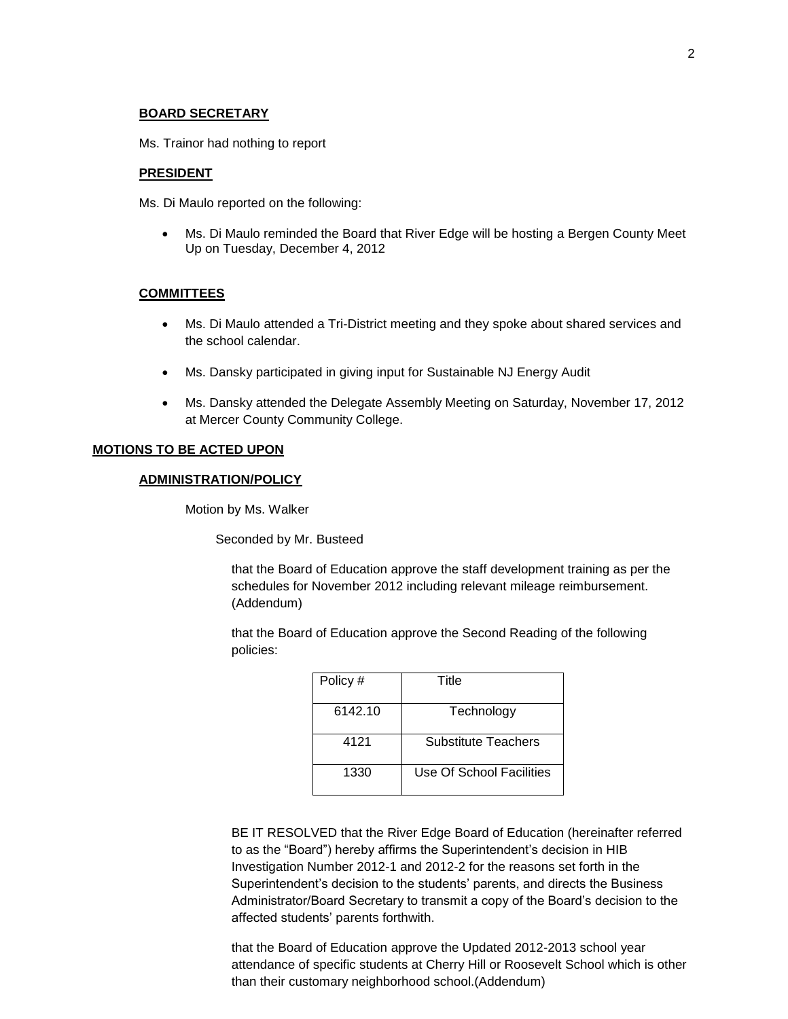#### **BOARD SECRETARY**

Ms. Trainor had nothing to report

#### **PRESIDENT**

Ms. Di Maulo reported on the following:

 Ms. Di Maulo reminded the Board that River Edge will be hosting a Bergen County Meet Up on Tuesday, December 4, 2012

#### **COMMITTEES**

- Ms. Di Maulo attended a Tri-District meeting and they spoke about shared services and the school calendar.
- Ms. Dansky participated in giving input for Sustainable NJ Energy Audit
- Ms. Dansky attended the Delegate Assembly Meeting on Saturday, November 17, 2012 at Mercer County Community College.

### **MOTIONS TO BE ACTED UPON**

#### **ADMINISTRATION/POLICY**

Motion by Ms. Walker

Seconded by Mr. Busteed

that the Board of Education approve the staff development training as per the schedules for November 2012 including relevant mileage reimbursement. (Addendum)

that the Board of Education approve the Second Reading of the following policies:

| Policy # | Title                    |
|----------|--------------------------|
| 6142.10  | Technology               |
| 4121     | Substitute Teachers      |
| 1330     | Use Of School Facilities |

BE IT RESOLVED that the River Edge Board of Education (hereinafter referred to as the "Board") hereby affirms the Superintendent's decision in HIB Investigation Number 2012-1 and 2012-2 for the reasons set forth in the Superintendent's decision to the students' parents, and directs the Business Administrator/Board Secretary to transmit a copy of the Board's decision to the affected students' parents forthwith.

that the Board of Education approve the Updated 2012-2013 school year attendance of specific students at Cherry Hill or Roosevelt School which is other than their customary neighborhood school.(Addendum)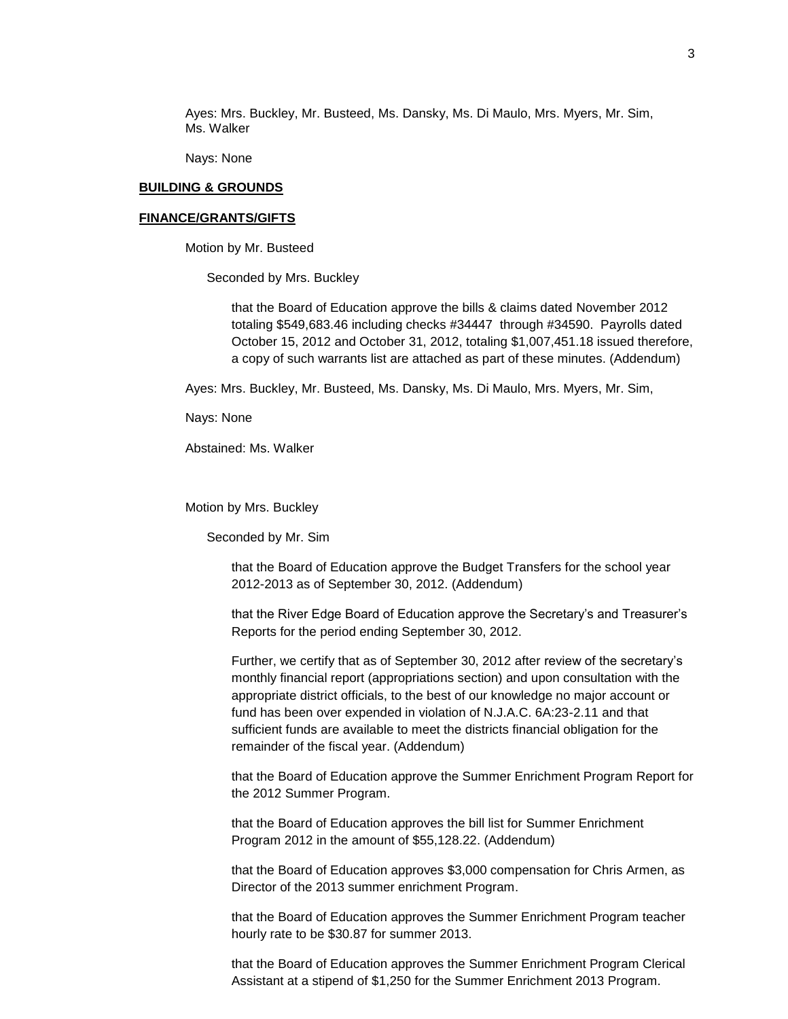Ayes: Mrs. Buckley, Mr. Busteed, Ms. Dansky, Ms. Di Maulo, Mrs. Myers, Mr. Sim, Ms. Walker

Nays: None

#### **BUILDING & GROUNDS**

#### **FINANCE/GRANTS/GIFTS**

Motion by Mr. Busteed

Seconded by Mrs. Buckley

that the Board of Education approve the bills & claims dated November 2012 totaling \$549,683.46 including checks #34447 through #34590. Payrolls dated October 15, 2012 and October 31, 2012, totaling \$1,007,451.18 issued therefore, a copy of such warrants list are attached as part of these minutes. (Addendum)

Ayes: Mrs. Buckley, Mr. Busteed, Ms. Dansky, Ms. Di Maulo, Mrs. Myers, Mr. Sim,

Nays: None

Abstained: Ms. Walker

Motion by Mrs. Buckley

Seconded by Mr. Sim

that the Board of Education approve the Budget Transfers for the school year 2012-2013 as of September 30, 2012. (Addendum)

that the River Edge Board of Education approve the Secretary's and Treasurer's Reports for the period ending September 30, 2012.

Further, we certify that as of September 30, 2012 after review of the secretary's monthly financial report (appropriations section) and upon consultation with the appropriate district officials, to the best of our knowledge no major account or fund has been over expended in violation of N.J.A.C. 6A:23-2.11 and that sufficient funds are available to meet the districts financial obligation for the remainder of the fiscal year. (Addendum)

that the Board of Education approve the Summer Enrichment Program Report for the 2012 Summer Program.

that the Board of Education approves the bill list for Summer Enrichment Program 2012 in the amount of \$55,128.22. (Addendum)

that the Board of Education approves \$3,000 compensation for Chris Armen, as Director of the 2013 summer enrichment Program.

that the Board of Education approves the Summer Enrichment Program teacher hourly rate to be \$30.87 for summer 2013.

that the Board of Education approves the Summer Enrichment Program Clerical Assistant at a stipend of \$1,250 for the Summer Enrichment 2013 Program.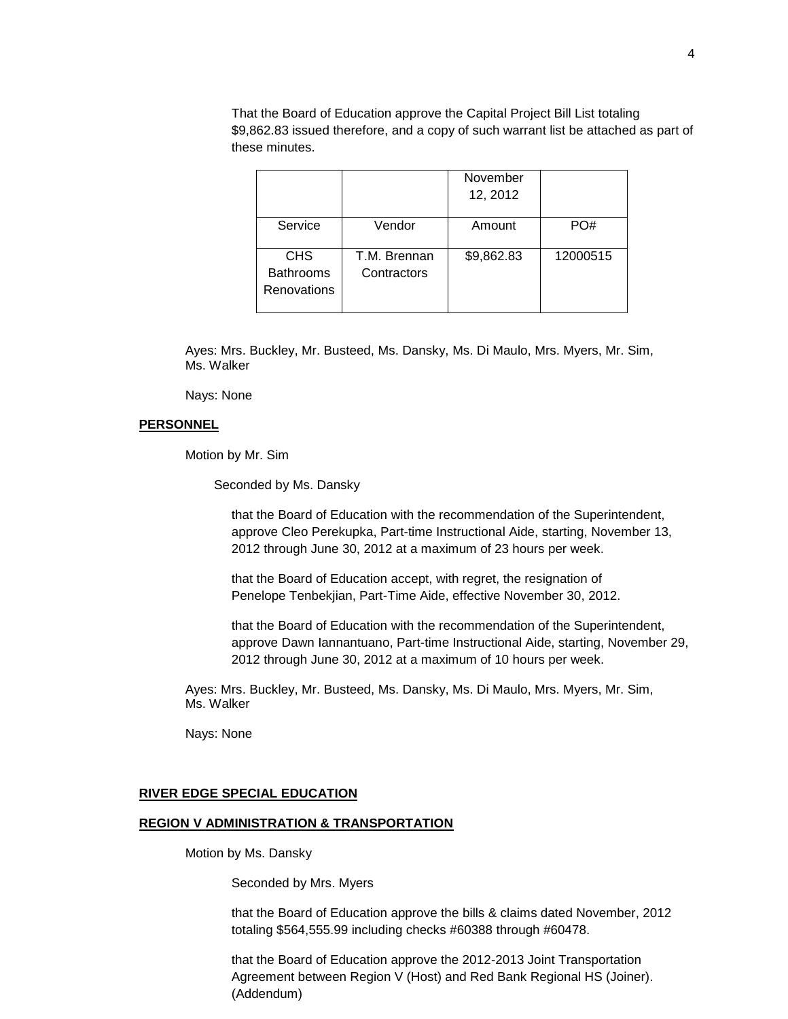That the Board of Education approve the Capital Project Bill List totaling \$9,862.83 issued therefore, and a copy of such warrant list be attached as part of these minutes.

|                                               |                             | November<br>12, 2012 |          |
|-----------------------------------------------|-----------------------------|----------------------|----------|
| Service                                       | Vendor                      | Amount               | PO#      |
| <b>CHS</b><br><b>Bathrooms</b><br>Renovations | T.M. Brennan<br>Contractors | \$9,862.83           | 12000515 |

Ayes: Mrs. Buckley, Mr. Busteed, Ms. Dansky, Ms. Di Maulo, Mrs. Myers, Mr. Sim, Ms. Walker

Nays: None

## **PERSONNEL**

Motion by Mr. Sim

Seconded by Ms. Dansky

that the Board of Education with the recommendation of the Superintendent, approve Cleo Perekupka, Part-time Instructional Aide, starting, November 13, 2012 through June 30, 2012 at a maximum of 23 hours per week.

that the Board of Education accept, with regret, the resignation of Penelope Tenbekjian, Part-Time Aide, effective November 30, 2012.

that the Board of Education with the recommendation of the Superintendent, approve Dawn Iannantuano, Part-time Instructional Aide, starting, November 29, 2012 through June 30, 2012 at a maximum of 10 hours per week.

Ayes: Mrs. Buckley, Mr. Busteed, Ms. Dansky, Ms. Di Maulo, Mrs. Myers, Mr. Sim, Ms. Walker

Nays: None

#### **RIVER EDGE SPECIAL EDUCATION**

#### **REGION V ADMINISTRATION & TRANSPORTATION**

Motion by Ms. Dansky

Seconded by Mrs. Myers

that the Board of Education approve the bills & claims dated November, 2012 totaling \$564,555.99 including checks #60388 through #60478.

that the Board of Education approve the 2012-2013 Joint Transportation Agreement between Region V (Host) and Red Bank Regional HS (Joiner). (Addendum)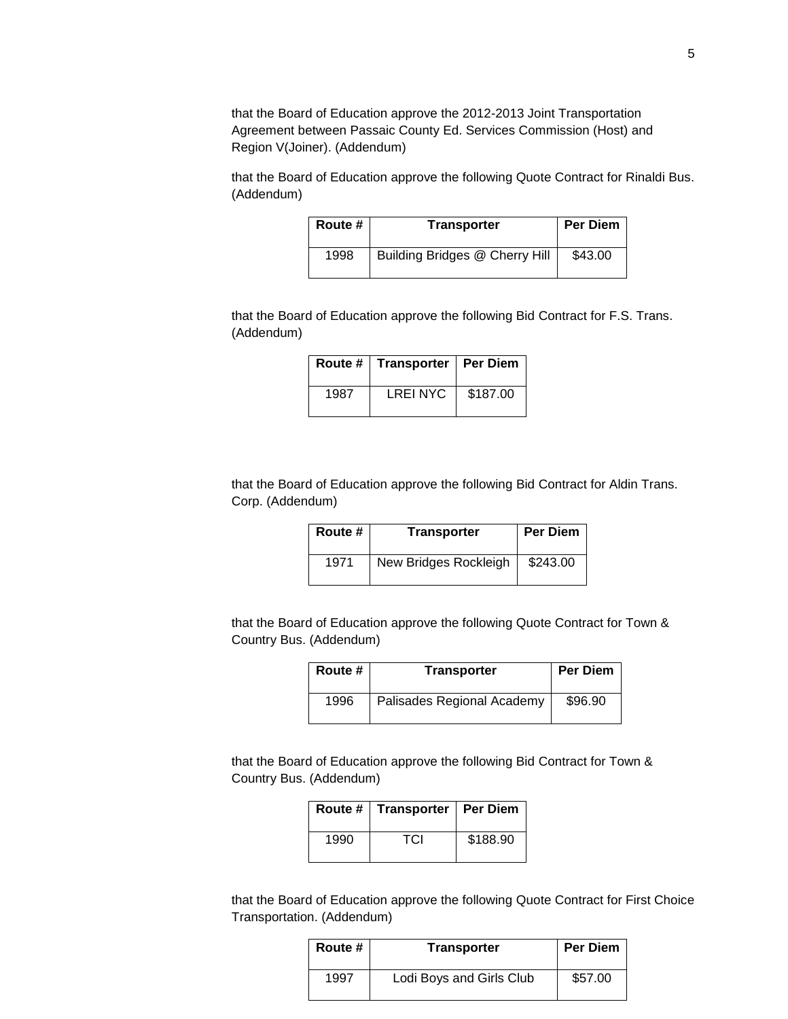that the Board of Education approve the 2012-2013 Joint Transportation Agreement between Passaic County Ed. Services Commission (Host) and Region V(Joiner). (Addendum)

that the Board of Education approve the following Quote Contract for Rinaldi Bus. (Addendum)

| Route # | <b>Transporter</b>             | <b>Per Diem</b> |
|---------|--------------------------------|-----------------|
| 1998    | Building Bridges @ Cherry Hill | \$43.00         |

that the Board of Education approve the following Bid Contract for F.S. Trans. (Addendum)

|      | Route #   Transporter   Per Diem |          |
|------|----------------------------------|----------|
| 1987 | <b>LREINYC</b>                   | \$187.00 |

that the Board of Education approve the following Bid Contract for Aldin Trans. Corp. (Addendum)

| Route # | <b>Transporter</b>    | <b>Per Diem</b> |
|---------|-----------------------|-----------------|
| 1971    | New Bridges Rockleigh | \$243.00        |

that the Board of Education approve the following Quote Contract for Town & Country Bus. (Addendum)

| Route # | <b>Transporter</b>         | <b>Per Diem</b> |
|---------|----------------------------|-----------------|
| 1996    | Palisades Regional Academy | \$96.90         |

that the Board of Education approve the following Bid Contract for Town & Country Bus. (Addendum)

| Route # | Transporter   Per Diem |          |
|---------|------------------------|----------|
| 1990    | TCI                    | \$188.90 |

that the Board of Education approve the following Quote Contract for First Choice Transportation. (Addendum)

| Route # | <b>Transporter</b>       | <b>Per Diem</b> |
|---------|--------------------------|-----------------|
| 1997    | Lodi Boys and Girls Club | \$57.00         |